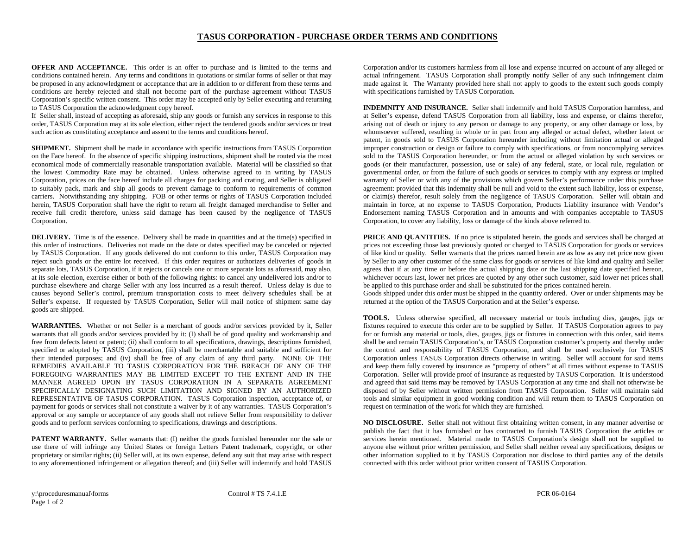## **TASUS CORPORATION - PURCHASE ORDER TERMS AND CONDITIONS**

**OFFER AND ACCEPTANCE.** This order is an offer to purchase and is limited to the terms and conditions contained herein. Any terms and conditions in quotations or similar forms of seller or that may be proposed in any acknowledgment or acceptance that are in addition to or different from these terms and conditions are hereby rejected and shall not become part of the purchase agreement without TASUS Corporation's specific written consent. This order may be accepted only by Seller executing and returning to TASUS Corporation the acknowledgment copy hereof.

If Seller shall, instead of accepting as aforesaid, ship any goods or furnish any services in response to this order, TASUS Corporation may at its sole election, either reject the tendered goods and/or services or treat such action as constituting acceptance and assent to the terms and conditions hereof.

**SHIPMENT.** Shipment shall be made in accordance with specific instructions from TASUS Corporation on the Face hereof. In the absence of specific shipping instructions, shipment shall be routed via the most economical mode of commercially reasonable transportation available. Material will be classified so that the lowest Commodity Rate may be obtained. Unless otherwise agreed to in writing by TASUS Corporation, prices on the face hereof include all charges for packing and crating, and Seller is obligated to suitably pack, mark and ship all goods to prevent damage to conform to requirements of common carriers. Notwithstanding any shipping. FOB or other terms or rights of TASUS Corporation included herein, TASUS Corporation shall have the right to return all freight damaged merchandise to Seller and receive full credit therefore, unless said damage has been caused by the negligence of TASUS Corporation.

**DELIVERY.** Time is of the essence. Delivery shall be made in quantities and at the time(s) specified in this order of instructions. Deliveries not made on the date or dates specified may be canceled or rejected by TASUS Corporation. If any goods delivered do not conform to this order, TASUS Corporation may reject such goods or the entire lot received. If this order requires or authorizes deliveries of goods in separate lots, TASUS Corporation, if it rejects or cancels one or more separate lots as aforesaid, may also, at its sole election, exercise either or both of the following rights: to cancel any undelivered lots and/or to purchase elsewhere and charge Seller with any loss incurred as a result thereof. Unless delay is due to causes beyond Seller's control, premium transportation costs to meet delivery schedules shall be at Seller's expense. If requested by TASUS Corporation, Seller will mail notice of shipment same day goods are shipped.

**WARRANTIES.** Whether or not Seller is a merchant of goods and/or services provided by it, Seller warrants that all goods and/or services provided by it: (I) shall be of good quality and workmanship and free from defects latent or patent; (ii) shall conform to all specifications, drawings, descriptions furnished, specified or adopted by TASUS Corporation, (iii) shall be merchantable and suitable and sufficient for their intended purposes; and (iv) shall be free of any claim of any third party. NONE OF THE REMEDIES AVAILABLE TO TASUS CORPORATION FOR THE BREACH OF ANY OF THE FOREGOING WARRANTIES MAY BE LIMITED EXCEPT TO THE EXTENT AND IN THE MANNER AGREED UPON BY TASUS CORPORATION IN A SEPARATE AGREEMENT SPECIFICALLY DESIGNATING SUCH LIMITATION AND SIGNED BY AN AUTHORIZED REPRESENTATIVE OF TASUS CORPORATION. TASUS Corporation inspection, acceptance of, or payment for goods or services shall not constitute a waiver by it of any warranties. TASUS Corporation's approval or any sample or acceptance of any goods shall not relieve Seller from responsibility to deliver goods and to perform services conforming to specifications, drawings and descriptions.

**PATENT WARRANTY.** Seller warrants that: (I) neither the goods furnished hereunder nor the sale or use there of will infringe any United States or foreign Letters Patent trademark, copyright, or other proprietary or similar rights; (ii) Seller will, at its own expense, defend any suit that may arise with respect to any aforementioned infringement or allegation thereof; and (iii) Seller will indemnify and hold TASUS

Corporation and/or its customers harmless from all lose and expense incurred on account of any alleged or actual infringement. TASUS Corporation shall promptly notify Seller of any such infringement claim made against it. The Warranty provided here shall not apply to goods to the extent such goods comply with specifications furnished by TASUS Corporation.

**INDEMNITY AND INSURANCE.** Seller shall indemnify and hold TASUS Corporation harmless, and at Seller's expense, defend TASUS Corporation from all liability, loss and expense, or claims therefor, arising out of death or injury to any person or damage to any property, or any other damage or loss, by whomsoever suffered, resulting in whole or in part from any alleged or actual defect, whether latent or patent, in goods sold to TASUS Corporation hereunder including without limitation actual or alleged improper construction or design or failure to comply with specifications, or from noncomplying services sold to the TASUS Corporation hereunder, or from the actual or alleged violation by such services or goods (or their manufacturer, possession, use or sale) of any federal, state, or local rule, regulation or governmental order, or from the failure of such goods or services to comply with any express or implied warranty of Seller or with any of the provisions which govern Seller's performance under this purchase agreement: provided that this indemnity shall be null and void to the extent such liability, loss or expense, or claim(s) therefor, result solely from the negligence of TASUS Corporation. Seller will obtain and maintain in force, at no expense to TASUS Corporation, Products Liability insurance with Vendor's Endorsement naming TASUS Corporation and in amounts and with companies acceptable to TASUS Corporation, to cover any liability, loss or damage of the kinds above referred to.

**PRICE AND QUANTITIES.** If no price is stipulated herein, the goods and services shall be charged at prices not exceeding those last previously quoted or charged to TASUS Corporation for goods or services of like kind or quality. Seller warrants that the prices named herein are as low as any net price now given by Seller to any other customer of the same class for goods or services of like kind and quality and Seller agrees that if at any time or before the actual shipping date or the last shipping date specified hereon, whichever occurs last, lower net prices are quoted by any other such customer, said lower net prices shall be applied to this purchase order and shall be substituted for the prices contained herein.

Goods shipped under this order must be shipped in the quantity ordered. Over or under shipments may be returned at the option of the TASUS Corporation and at the Seller's expense.

**TOOLS.** Unless otherwise specified, all necessary material or tools including dies, gauges, jigs or fixtures required to execute this order are to be supplied by Seller. If TASUS Corporation agrees to pay for or furnish any material or tools, dies, gauges, jigs or fixtures in connection with this order, said items shall be and remain TASUS Corporation's, or TASUS Corporation customer's property and thereby under the control and responsibility of TASUS Corporation, and shall be used exclusively for TASUS Corporation unless TASUS Corporation directs otherwise in writing. Seller will account for said items and keep them fully covered by insurance as "property of others" at all times without expense to TASUS Corporation. Seller will provide proof of insurance as requested by TASUS Corporation. It is understood and agreed that said items may be removed by TASUS Corporation at any time and shall not otherwise be disposed of by Seller without written permission from TASUS Corporation. Seller will maintain said tools and similar equipment in good working condition and will return them to TASUS Corporation on request on termination of the work for which they are furnished.

**NO DISCLOSURE.** Seller shall not without first obtaining written consent, in any manner advertise or publish the fact that it has furnished or has contracted to furnish TASUS Corporation the articles or services herein mentioned. Material made to TASUS Corporation's design shall not be supplied to anyone else without prior written permission, and Seller shall neither reveal any specifications, designs or other information supplied to it by TASUS Corporation nor disclose to third parties any of the details connected with this order without prior written consent of TASUS Corporation.